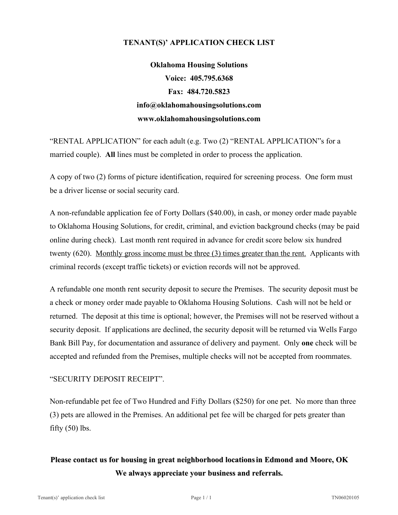## **TENANT(S)' APPLICATION CHECK LIST**

**Oklahoma Housing Solutions Voice: 405.795.6368 Fax: 484.720.5823 info@oklahomahousingsolutions.com www.oklahomahousingsolutions.com**

 "RENTAL APPLICATION" for each adult (e.g. Two (2) "RENTAL APPLICATION"s for a married couple). **All** lines must be completed in order to process the application.

 A copy of two (2) forms of picture identification, required for screening process. One form must be a driver license or social security card.

 A non-refundable application fee of Forty Dollars (\$40.00), in cash, or money order made payable to Oklahoma Housing Solutions, for credit, criminal, and eviction background checks (may be paid online during check). Last month rent required in advance for credit score below six hundred twenty (620). Monthly gross income must be three (3) times greater than the rent. Applicants with criminal records (except traffic tickets) or eviction records will not be approved.

 A refundable one month rent security deposit to secure the Premises. The security deposit must be a check or money order made payable to Oklahoma Housing Solutions. Cash will not be held or returned. The deposit at this time is optional; however, the Premises will not be reserved without a security deposit. If applications are declined, the security deposit will be returned via Wells Fargo Bank Bill Pay, for documentation and assurance of delivery and payment. Only **one** check will be accepted and refunded from the Premises, multiple checks will not be accepted from roommates.

## "SECURITY DEPOSIT RECEIPT".

 Non-refundable pet fee of Two Hundred and Fifty Dollars (\$250) for one pet. No more than three (3) pets are allowed in the Premises. An additional pet fee will be charged for pets greater than fifty  $(50)$  lbs.

## **Please contact us for housing in great neighborhood locationsin Edmond and Moore, OK We always appreciate your business and referrals.**